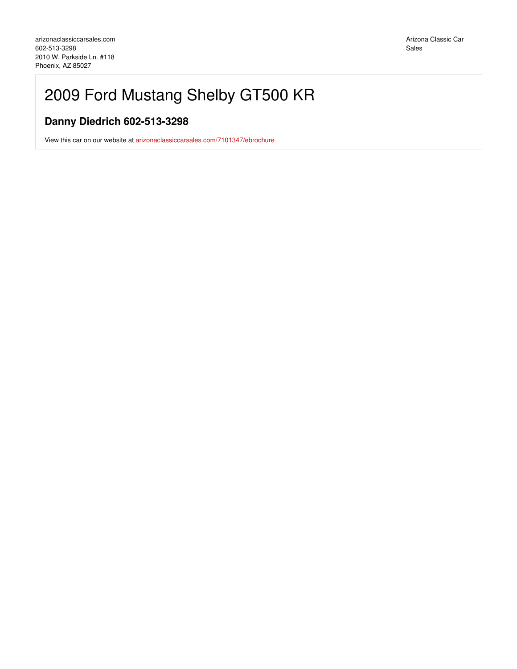# 2009 Ford Mustang Shelby GT500 KR

## **Danny Diedrich 602-513-3298**

View this car on our website at [arizonaclassiccarsales.com/7101347/ebrochure](https://arizonaclassiccarsales.com/vehicle/7101347/2009-ford-mustang-shelby-gt500-kr-phoenix-az-85027/7101347/ebrochure)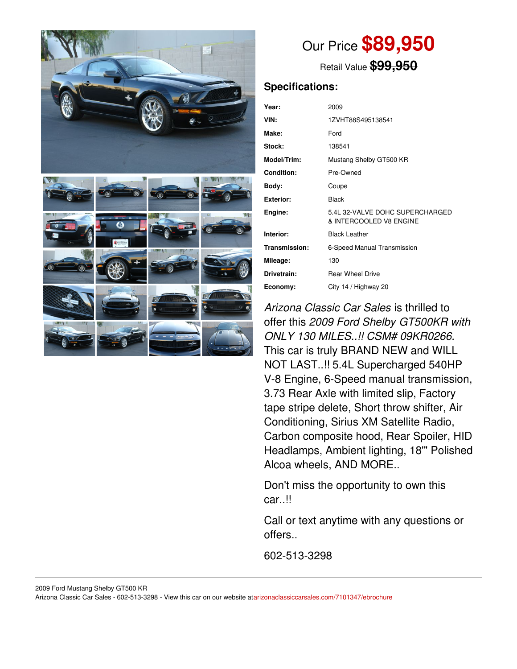



# Our Price **\$89,950**

Retail Value **\$99,950**

### **Specifications:**

| Year:             | 2009                                                       |
|-------------------|------------------------------------------------------------|
| VIN:              | 1ZVHT88S495138541                                          |
| Make:             | Ford                                                       |
| Stock:            | 138541                                                     |
| Model/Trim:       | Mustang Shelby GT500 KR                                    |
| <b>Condition:</b> | Pre-Owned                                                  |
| Body:             | Coupe                                                      |
| <b>Exterior:</b>  | Black                                                      |
| Engine:           | 5.4L 32-VALVE DOHC SUPERCHARGED<br>& INTERCOOLED V8 ENGINE |
| Interior:         | <b>Black Leather</b>                                       |
| Transmission:     | 6-Speed Manual Transmission                                |
| Mileage:          | 130                                                        |
| Drivetrain:       | <b>Rear Wheel Drive</b>                                    |
| Economy:          | City 14 / Highway 20                                       |

*Arizona Classic Car Sales* is thrilled to offer this *2009 Ford Shelby GT500KR with ONLY 130 MILES..!! CSM# 09KR0266.* This car is truly BRAND NEW and WILL NOT LAST..!! 5.4L Supercharged 540HP V-8 Engine, 6-Speed manual transmission, 3.73 Rear Axle with limited slip, Factory tape stripe delete, Short throw shifter, Air Conditioning, Sirius XM Satellite Radio, Carbon composite hood, Rear Spoiler, HID Headlamps, Ambient lighting, 18'" Polished Alcoa wheels, AND MORE..

Don't miss the opportunity to own this car..!!

Call or text anytime with any questions or offers..

602-513-3298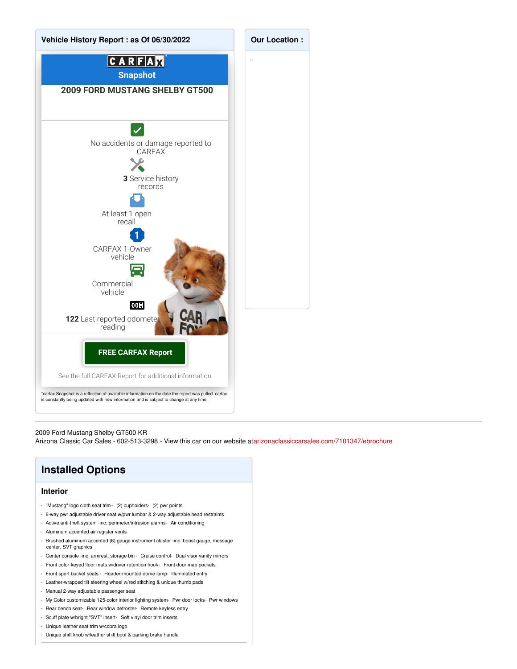

2009 Ford Mustang Shelby GT500 KR Arizona Classic Car Sales - 602-513-3298 - View this car on our website at[arizonaclassiccarsales.com/7101347/ebrochure](https://arizonaclassiccarsales.com/vehicle/7101347/2009-ford-mustang-shelby-gt500-kr-phoenix-az-85027/7101347/ebrochure)

## **Installed Options**

### **Interior**

- "Mustang" logo cloth seat trim (2) cupholders- (2) pwr points
- 6-way pwr adjustable driver seat w/pwr lumbar & 2-way adjustable head restraints
- Active anti-theft system -inc: perimeter/intrusion alarms- Air conditioning
- Aluminum accented air register vents
- Brushed aluminum accented (6) gauge instrument cluster -inc: boost gauge, message center, SVT graphics
- Center console -inc: armrest, storage bin Cruise control- Dual visor vanity mirrors
- Front color-keyed floor mats w/driver retention hook- Front door map pockets
- Front sport bucket seats Header-mounted dome lamp- Illuminated entry
- Leather-wrapped tilt steering wheel w/red stitching & unique thumb pads
- Manual 2-way adjustable passenger seat
- My Color customizable 125-color interior lighting system- Pwr door locks- Pwr windows
- Rear bench seat- Rear window defroster- Remote keyless entry
- Scuff plate w/bright "SVT" insert- Soft vinyl door trim inserts
- Unique leather seat trim w/cobra logo
- Unique shift knob w/leather shift boot & parking brake handle